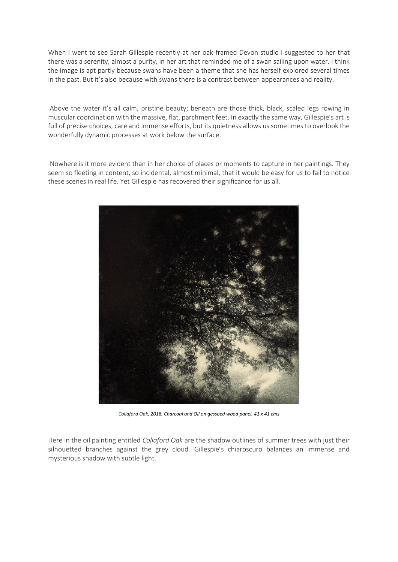When I went to see Sarah Gillespie recently at her oak-framed Devon studio I suggested to her that there was a serenity, almost a purity, in her art that reminded me of a swan sailing upon water. I think the image is apt partly because swans have been a theme that she has herself explored several times in the past. But it's also because with swans there is a contrast between appearances and reality.

Above the water it's all calm, pristine beauty; beneath are those thick, black, scaled legs rowing in muscular coordination with the massive, flat, parchment feet. In exactly the same way, Gillespie's art is full of precise choices, care and immense efforts, but its quietness allows us sometimes to overlook the wonderfully dynamic processes at work below the surface.

Nowhere is it more evident than in her choice of places or moments to capture in her paintings. They seem so fleeting in content, so incidental, almost minimal, that it would be easy for us to fail to notice these scenes in real life. Yet Gillespie has recovered their significance for us all.



*Collaford Oak, 2018, Charcoal and Oil on gessoed wood panel, 41 x 41 cms*

Here in the oil painting entitled *Collaford Oak* are the shadow outlines of summer trees with just their silhouetted branches against the grey cloud. Gillespie's chiaroscuro balances an immense and mysterious shadow with subtle light.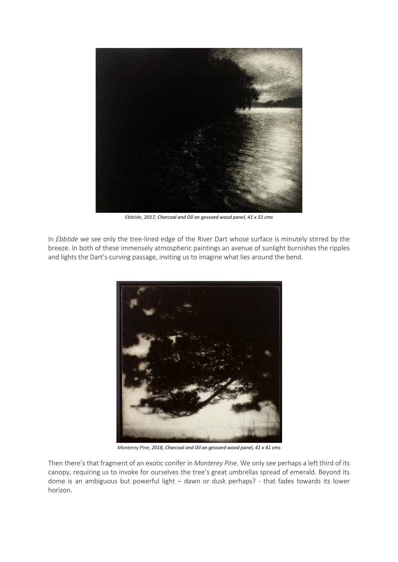

*Ebbtide, 2017, Charcoal and Oil on gessoed wood panel, 41 x 51 cms*

In *Ebbtide* we see only the tree-lined edge of the River Dart whose surface is minutely stirred by the breeze. In both of these immensely atmospheric paintings an avenue of sunlight burnishes the ripples and lights the Dart's curving passage, inviting us to imagine what lies around the bend.



*Monterey Pine, 2018, Charcoal and Oil on gessoed wood panel, 41 x 41 cms*

Then there's that fragment of an exotic conifer in *Monterey Pine*. We only see perhaps a left third of its canopy, requiring us to invoke for ourselves the tree's great umbrellas spread of emerald. Beyond its dome is an ambiguous but powerful light – dawn or dusk perhaps? - that fades towards its lower horizon.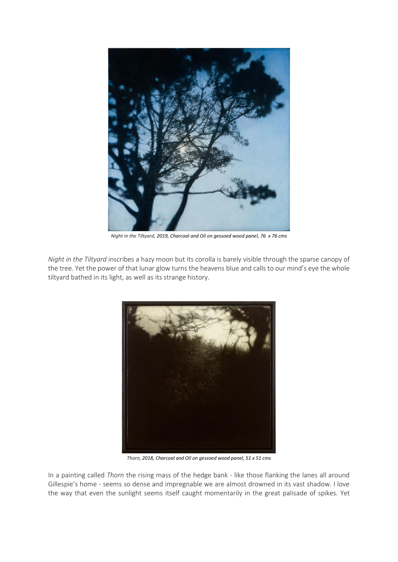

*Night in the Tiltyard, 2019, Charcoal and Oil on gessoed wood panel, 76 x 76 cms*

*Night in the Tiltyard* inscribes a hazy moon but its corolla is barely visible through the sparse canopy of the tree. Yet the power of that lunar glow turns the heavens blue and calls to our mind's eye the whole tiltyard bathed in its light, as well as its strange history.



*Thorn, 2018, Charcoal and Oil on gessoed wood panel, 51 x 51 cms*

In a painting called *Thorn* the rising mass of the hedge bank - like those flanking the lanes all around Gillespie's home - seems so dense and impregnable we are almost drowned in its vast shadow. I love the way that even the sunlight seems itself caught momentarily in the great palisade of spikes. Yet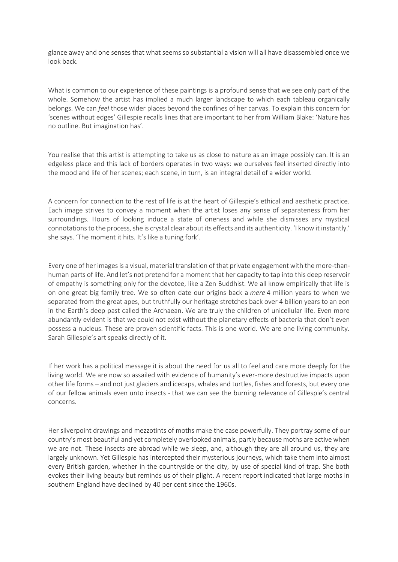glance away and one senses that what seems so substantial a vision will all have disassembled once we look back.

What is common to our experience of these paintings is a profound sense that we see only part of the whole. Somehow the artist has implied a much larger landscape to which each tableau organically belongs. We can *feel* those wider places beyond the confines of her canvas. To explain this concern for 'scenes without edges' Gillespie recalls lines that are important to her from William Blake: 'Nature has no outline. But imagination has'.

You realise that this artist is attempting to take us as close to nature as an image possibly can. It is an edgeless place and this lack of borders operates in two ways: we ourselves feel inserted directly into the mood and life of her scenes; each scene, in turn, is an integral detail of a wider world.

A concern for connection to the rest of life is at the heart of Gillespie's ethical and aesthetic practice. Each image strives to convey a moment when the artist loses any sense of separateness from her surroundings. Hours of looking induce a state of oneness and while she dismisses any mystical connotations to the process, she is crystal clear about its effects and its authenticity. 'I know it instantly.' she says. 'The moment it hits. It's like a tuning fork'.

Every one of her images is a visual, material translation of that private engagement with the more-thanhuman parts of life. And let's not pretend for a moment that her capacity to tap into this deep reservoir of empathy is something only for the devotee, like a Zen Buddhist. We all know empirically that life is on one great big family tree. We so often date our origins back a *mere* 4 million years to when we separated from the great apes, but truthfully our heritage stretches back over 4 billion years to an eon in the Earth's deep past called the Archaean. We are truly the children of unicellular life. Even more abundantly evident is that we could not exist without the planetary effects of bacteria that don't even possess a nucleus. These are proven scientific facts. This is one world. We are one living community. Sarah Gillespie's art speaks directly of it.

If her work has a political message it is about the need for us all to feel and care more deeply for the living world. We are now so assailed with evidence of humanity's ever-more destructive impacts upon other life forms – and not just glaciers and icecaps, whales and turtles, fishes and forests, but every one of our fellow animals even unto insects - that we can see the burning relevance of Gillespie's central concerns.

Her silverpoint drawings and mezzotints of moths make the case powerfully. They portray some of our country's most beautiful and yet completely overlooked animals, partly because moths are active when we are not. These insects are abroad while we sleep, and, although they are all around us, they are largely unknown. Yet Gillespie has intercepted their mysterious journeys, which take them into almost every British garden, whether in the countryside or the city, by use of special kind of trap. She both evokes their living beauty but reminds us of their plight. A recent report indicated that large moths in southern England have declined by 40 per cent since the 1960s.